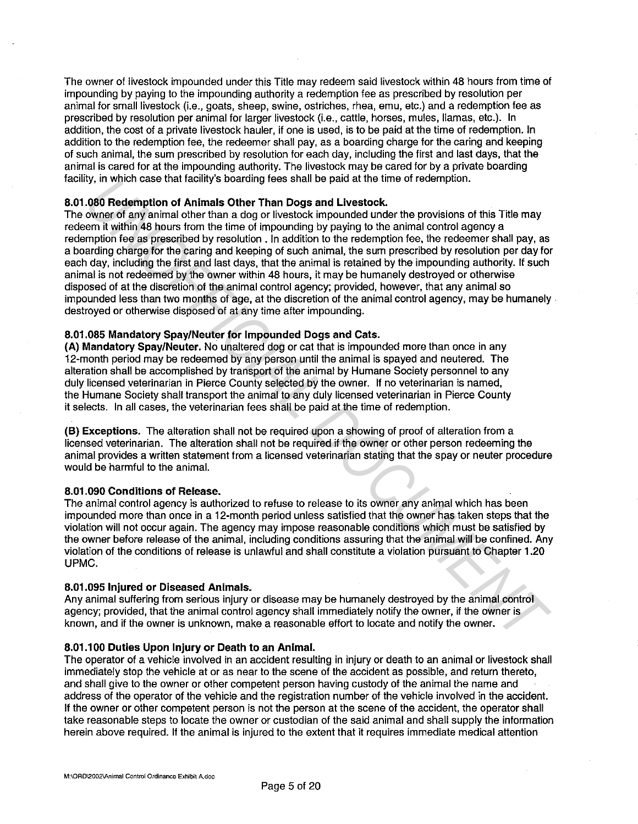The owner of livestock impounded under this Title may redeem said livestock within 48 hours from time of impounding by paying to the impounding authority a redemption fee as prescribed by resolution per animal for small livestock (i.e., goats, sheep, swine, ostriches, rhea, emu, etc.) and a redemption fee as prescribed by resolution per animal for larger livestock (i.e., cattle, horses, mules, llamas, etc.). In addition, the cost of a private livestock hauler, if one is used, is to be paid at the time of redemption. In addition to the redemption fee, the redeemer shall pay, as a boarding charge for the caring and keeping of such animal, the sum prescribed by resolution for each day, including the first and last days, that the animal is cared for at the impounding authority. The livestock may be cared for by a private boarding facility, in which case that facility's boarding fees shall be paid at the time of redemption.

# **8.01.080 Redemption of Animals Other Than Dogs and Livestock.**

The owner of any animal other than a dog or livestock impounded under the provisions of this Title may redeem it within 48 hours from the time of impounding by paying to the animal control agency a redemption fee as prescribed by resolution. In addition to the redemption fee, the redeemer shall pay, as a boarding charge for the caring and keeping of such animal, the sum prescribed by resolution per day for each day, including the first and last days, that the animal is retained by the impounding authority. If such animal is not redeemed by the owner within 48 hours, it may be humanely destroyed or otherwise disposed of at the discretion of the animal control agency; provided, however, that any animal so impounded less than two months of age, at the discretion of the animal control agency, may be humanely destroyed or otherwise disposed of at any time after impounding. ity, it writen case utar actitity's bustraining tees small of part at this units of redemption.<br> **ORD Redemption of Antimals Other Tham Dogs and Livestock**<br> **OWER of the provisions of this Tille may**<br>
owner of any animal o

# **8.01.085 Mandatory Spay/Neuter for Impounded Dogs and Cats.**

**(A) Mandatory Spay/Neuter.** No unaltered dog or cat that is impounded more than once in any 12-month period may be redeemed by any person until the animal is spayed and neutered. The alteration shall be accomplished by transport of the animal by Humane Society personnel to any duly licensed veterinarian in Pierce County selected by the owner. If no veterinarian is named, the Humane Society shall transport the animal to any duly licensed veterinarian in Pierce County it selects. In all cases, the veterinarian fees shall be paid at the time of redemption.

**(B) Exceptions.** The alteration shall not be required upon a showing of proof of alteration from a licensed veterinarian. The alteration shall not be required if the owner or other person redeeming the animal provides a written statement from a licensed veterinarian stating that the spay or neuter procedure would be harmful to the animal.

# **8.01.090 Conditions of Release.**

The animal control agency is authorized to refuse to release to its owner any animal which has been impounded more than once in a 12-month period unless satisfied that the owner has taken steps that the violation will not occur again. The agency may impose reasonable conditions which must be satisfied by the owner before release of the animal, including conditions assuring that the animal will be confined. Any violation of the conditions of release is unlawful and shall constitute a violation pursuant to Chapter 1.20 UPMC.

# **8.01.095 Injured or Diseased Animals.**

Any animal suffering from serious injury or disease may be humanely destroyed by the animal control agency; provided, that the animal control agency shall immediately notify the owner, if the owner is known, and if the owner is unknown, make a reasonable effort to locate and notify the owner.

# **8.01.100 Duties Upon Injury or Death to an Animal.**

The operator of a vehicle involved in an accident resulting in injury or death to an animal or livestock shall immediately stop the vehicle at or as near to the scene of the accident as possible, and return thereto, and shall give to the owner or other competent person having custody of the animal the name and address of the operator of the vehicle and the registration number of the vehicle involved in the accident. If the owner or other competent person is not the person at the scene of the accident, the operator shall take reasonable steps to locate the owner or custodian of the said animal and shall supply the information herein above required. If the animal is injured to the extent that it requires immediate medical attention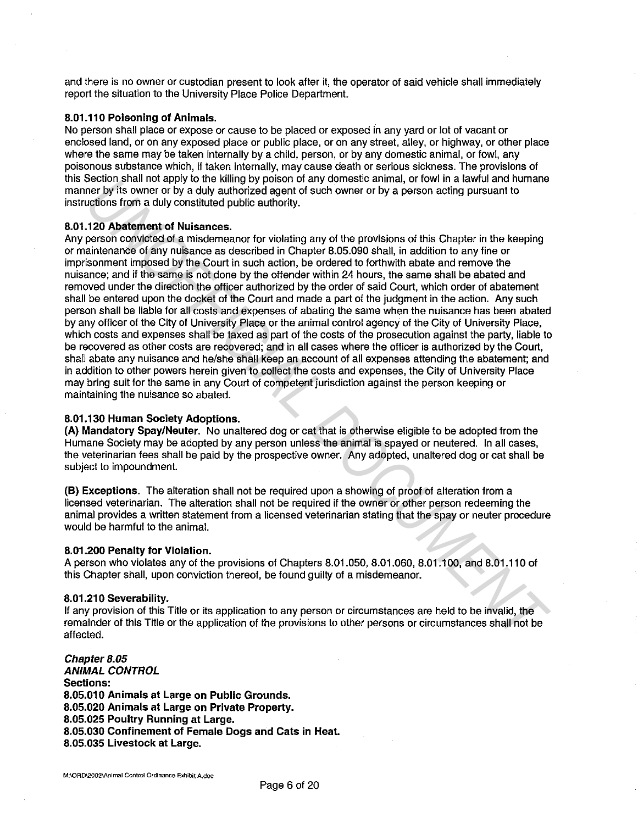and there is no owner or custodian present to look after it, the operator of said vehicle shall immediately report the situation to the University Place Police Department.

# **8.01.110 Poisoning of Animals.**

No person shall place or expose or cause to be placed or exposed in any yard or lot of vacant or enclosed land, or on any exposed place or public place, or on any street, alley, or highway, or other place where the same may be taken internally by a child, person, or by any domestic animal, or fowl, any poisonous substance which, if taken internally, may cause death or serious sickness. The provisions of this Section shall not apply to the killing by poison of any domestic animal, or fowl in a lawful and humane manner by its owner or by a duly authorized agent of such owner or by a person acting pursuant to instructions from a duly constituted public authority.

## **8.01.120 Abatement of Nuisances.**

Any person convicted of a misdemeanor for violating any of the provisions of this Chapter in the keeping or maintenance of any nuisance as described in Chapter 8.05.090 shall, in addition to any fine or imprisonment imposed by the Court in such action, be ordered to forthwith abate and remove the nuisance; and if the same is not done by the offender within 24 hours, the same shall be abated and removed under the direction the officer authorized by the order of said Court, which order of abatement shall be entered upon the docket of the Court and made a part of the judgment in the action. Any such person shall be liable for all costs and expenses of abating the same when the nuisance has been abated by any officer of the City of University Place or the animal control agency of the City of University Place, which costs and expenses shall be taxed as part of the costs of the prosecution against the party, liable to be recovered as other costs are recovered; and in all cases where the officer is authorized by the Court, shall abate any nuisance and he/she shall keep an account of all expenses attending the abatement; and in addition to other powers herein given to collect the costs and expenses, the City of University Place may bring suit for the same in any Court of competent jurisdiction against the person keeping or maintaining the nuisance so abated. Security similar total apply to the sulting by person in any otherstore aliminal, or towin in a kwinta number of the statement of the teaming in the provision of the Distamental or the proposition of the control of the con

#### **8.01.130 Human Society Adoptions.**

**(A) Mandatory Spay/Neuter.** No unaltered dog or cat that is otherwise eligible to be adopted from the Humane Society may be adopted by any person unless the animal is spayed or neutered. In all cases, the veterinarian fees shall be paid by the prospective owner. Any adopted, unaltered dog or cat shall be subject to impoundment.

**(B) Exceptions.** The alteration shall not be required upon a showing of proof of alteration from a licensed veterinarian. The alteration shall not be required if the owner or other person redeeming the animal provides a written statement from a licensed veterinarian stating that the spay or neuter procedure would be harmful to the animal.

## **8.01.200 Penalty for Violation.**

A person who violates any of the provisions of Chapters 8.01.050, 8.01.060, 8.01.100, and 8.01.110 of this Chapter shall, upon conviction thereof, be found guilty of a misdemeanor.

## **8.01.210 Severability.**

If any provision of this Title or its application to any person or circumstances are held to be invalid, the remainder of this Title or the application of the provisions to other persons or circumstances shall not be affected.

**Chapter 8.05 ANIMAL CONTROL Sections: 8.05.010 Animals at Large on Public Grounds. 8.05.020 Animals at Large on Private Property. 8.05.025 Poultry Running at Large. 8.05.030 Confinement of Female Dogs and Cats in Heat. 8.05.035 Livestock at Large.**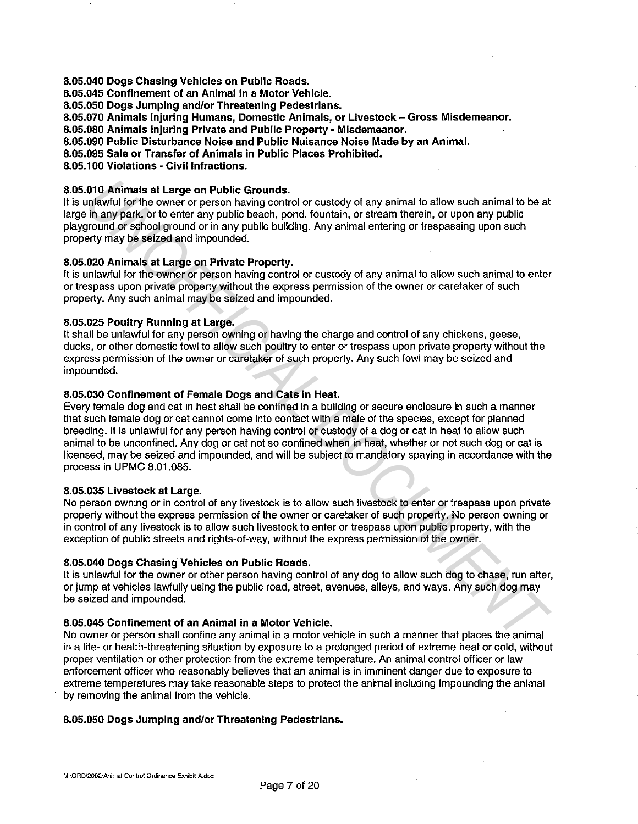**8.05.040 Dogs Chasing Vehicles on Public Roads.** 

**8.05.045 Confinement of an Animal in a Motor Vehicle.** 

**8.05.050 Dogs Jumping and/or Threatening Pedestrians.** 

**8.05.070 Animals Injuring Humans, Domestic Animals, or Livestock - Gross Misdemeanor.** 

**8.05.080 Animals Injuring Private and Public Property· Misdemeanor.** 

**8.05.090 Public Disturbance Noise and Public Nuisance Noise Made by an Animal.** 

**8.05.095 Sale or Transfer of Animals in Public Places Prohibited.** 

**8.05.100 Violations • Civil Infractions.** 

# **8.05.010 Animals at Large on Public Grounds.**

It is unlawful for the owner or person having control or custody of any animal to allow such animal to be at large in any park, or to enter any public beach, pond, fountain, or stream therein, or upon any public playground or school ground or in any public building. Any animal entering or trespassing upon such property may be seized and impounded.

# **8.05.020 Animals at Large on Private Property.**

It is unlawful for the owner or person having control or custody of any animal to allow such animal to enter or trespass upon private property without the express permission of the owner or caretaker of such property. Any such animal may be seized and impounded.

# **8.05.025 Poultry Running at Large.**

It shall be unlawful for any person owning or having the charge and control of any chickens, geese, ducks, or other domestic fowl to allow such poultry to enter or trespass upon private property without the express permission of the owner or caretaker of such property. Any such fowl may be seized and impounded.

# **8.05.030 Confinement of Female Dogs and Cats in Heat.**

Every female dog and cat in heat shall be confined in a building or secure enclosure in such a manner that such female dog or cat cannot come into contact with a male of the species, except for planned breeding. It is unlawful for any person having control or custody of a dog or cat in heat to allow such animal to be unconfined. Any dog or cat not so confined when in heat, whether or not such dog or cat is licensed, may be seized and impounded, and will be subject to mandatory spaying in accordance with the process in UPMC 8.01.085. **O10 Animals at Large on Public Grounds.**<br> **Unitary** in the the owner or person having control or custody of any animal to allow such animal to the original in the unitary information in the animal point of the sphot and i

# **8.05.035 Livestock at Large.**

No person owning or in control of any livestock is to allow such livestock to enter or trespass upon private property without the express permission of the owner or caretaker of such property. No person owning or in control of any livestock is to allow such livestock to enter or trespass upon public property, with the exception of public streets and rights-of-way, without the express permission of the owner.

# **8.05.040 Dogs Chasing Vehicles on Public Roads.**

It is unlawful for the owner or other person having control of any dog to allow such dog to chase, run after, or jump at vehicles lawfully using the public road, street, avenues, alleys, and ways. Any such dog may be seized and impounded.

# **8.05.045 Confinement of an Animal in a Motor Vehicle.**

No owner or person shall confine any animal in a motor vehicle in such a manner that places the animal in a life- or health-threatening situation by exposure to a prolonged period of extreme heat or cold, without proper ventilation or other protection from the extreme temperature. An animal control officer or law enforcement officer who reasonably believes that an animal is in imminent danger due to exposure to extreme temperatures may take reasonable steps to protect the animal including impounding the animal by removing the animal from the vehicle.

# **8.05.050 Dogs Jumping and/or Threatening Pedestrians.**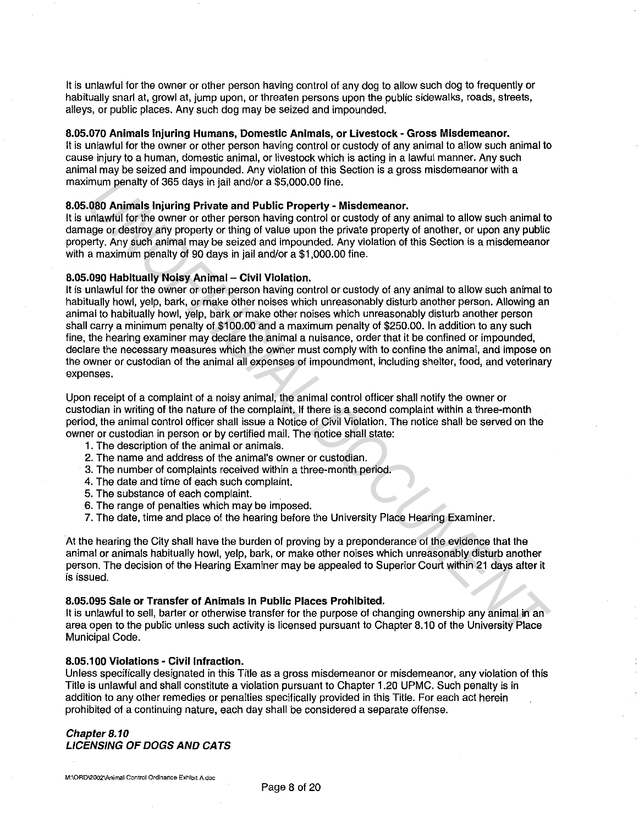It is unlawful for the owner or other person having control of any dog to allow such dog to frequently or habitually snarl at, growl at, jump upon, or threaten persons upon the public sidewalks, roads, streets, alleys, or public places. Any such dog may be seized and impounded.

## **8.05.070 Animals Injuring Humans, Domestic Animals, or Livestock - Gross Misdemeanor.**

It is unlawful for the owner or other person having control or custody of any animal to allow such animal to cause injury to a human, domestic animal, or livestock which is acting in a lawful manner. Any such animal may be seized and impounded. Any violation of this Section is a gross misdemeanor with a maximum penalty of 365 days in jail and/or a \$5,000.00 fine.

## **8.05.080 Animals Injuring Private and Public Property - Misdemeanor.**

It is unlawful for the owner or other person having control or custody of any animal to allow such animal to damage or destroy any property or thing of value upon the private property of another, or upon any public property. Any such animal may be seized and impounded. Any violation of this Section is a misdemeanor with a maximum penalty of 90 days in jail and/or a \$1,000.00 fine.

#### **8.05.090 Habitually Noisy Animal - Civil Violation.**

It is unlawful for the owner or other person having control or custody of any animal to allow such animal to habitually howl, yelp, bark, or make other noises which unreasonably disturb another person. Allowing an animal to habitually howl, yelp, bark or make other noises which unreasonably disturb another person shall carry a minimum penalty of \$100.00 and a maximum penalty of \$250.00. In addition to any such fine, the hearing examiner may declare the animal a nuisance, order that it be confined or impounded, declare the necessary measures which the owner must comply with to confine the animal, and impose on the owner or custodian of the animal all expenses of impoundment, including shelter, food, and veterinary expenses. imum penalty of 365 days in jail and/or a \$5,000.00 tine.<br> **U080 Animals highligh Private and Public Property - Misdemeanor.**<br> **University of the property of this property of the property of any animal to allow such animal** 

Upon receipt of a complaint of a noisy animal, the animal control officer shall notify the owner or custodian in writing of the nature of the complaint. If there is a second complaint within a three-month period, the animal control officer shall issue a Notice of Civil Violation. The notice shall be served on the owner or custodian in person or by certified mail. The notice shall state:

- 1. The description of the animal or animals.
- 2. The name and address of the animal's owner or custodian.
- 3. The number of complaints received within a three-month period.
- 4. The date and time of each such complaint.
- 5. The substance of each complaint.
- 6. The range of penalties which may be imposed.
- 7. The date, time and place of the hearing before the University Place Hearing Examiner.

At the hearing the City shall have the burden of proving by a preponderance of the evidence that the animal or animals habitually howl, yelp, bark, or make other noises which unreasonably disturb another person. The decision of the Hearing Examiner may be appealed to Superior Court within 21 days after it is issued.

#### **8.05.095 Sale or Transfer of Animals in Public Places Prohibited.**

It is unlawful to sell, barter or otherwise transfer for the purpose of changing ownership any animal in an area open to the public unless such activity is licensed pursuant to Chapter 8.10 of the University Place Municipal Code.

#### **8.05.100 Violations - Civil Infraction.**

Unless specifically designated in this Title as a gross misdemeanor or misdemeanor, any violation of this Title is unlawful and shall constitute a violation pursuant to Chapter 1.20 UPMC. Such penalty is in addition to any other remedies or penalties specifically provided in this Title. For each act herein prohibited of a continuing nature, each day shall be considered a separate offense.

## **Chapter 8.10 LICENSING OF DOGS AND CATS**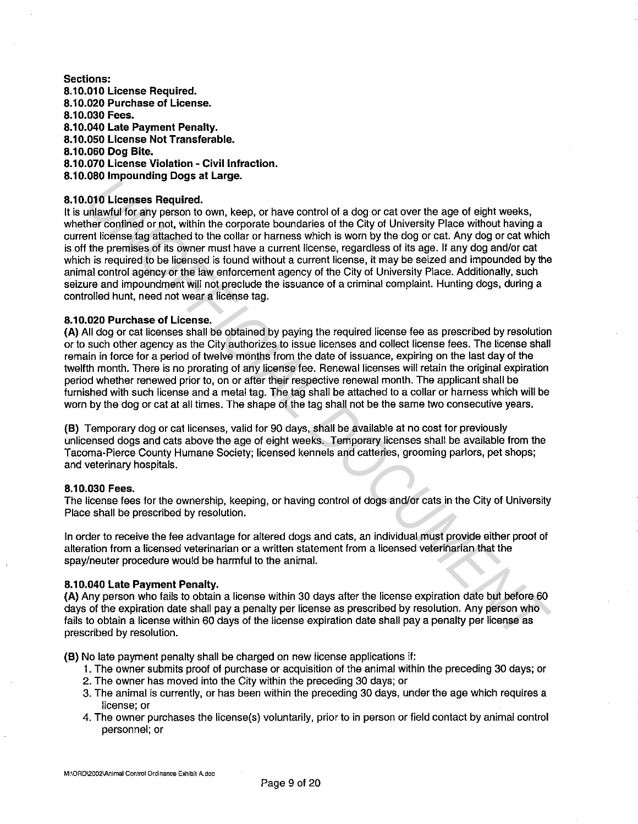# **Sections: 8.10.01 o License Required. 8.10.020 Purchase of License. 8.10.030 Fees. 8.10.040 Late Payment Penalty. 8.10.050 License Not Transferable. 8.10.060 Dog Bite. 8.10.070 License Violation - Civil Infraction. 8.10.080 Impounding Dogs at Large.**

# **8.10.010 Licenses Required.**

It is unlawful for any person to own, keep, or have control of a dog or cat over the age of eight weeks, whether confined or not, within the corporate boundaries of the City of University Place without having a current license tag attached to the collar or harness which is worn by the dog or cat. Any dog or cat which is off the premises of its owner must have a current license, regardless of its age. If any dog and/or cat which is required to be licensed is found without a current license, it may be seized and impounded by the animal control agency or the law enforcement agency of the City of University Place. Additionally, such seizure and impoundment will not preclude the issuance of a criminal complaint. Hunting dogs, during a controlled hunt, need not wear a license tag. **UND Licenses Required.**<br> **UND Licenses Required.**<br> **UND Licenses Required.**<br> **UND Licenses Required.**<br> **UND Licenses Required.**<br> **UND THE CONDIT COND** ON the corporate boundaries of the City of University Place without ha

# **8.10.020 Purchase of License.**

**(A)** All dog or cat licenses shall be obtained by paying the required license fee as prescribed by resolution or to such other agency as the City authorizes to issue licenses and collect license fees. The license shall remain in force for a period of twelve months from the date of issuance, expiring on the last day of the twelfth month. There is no prorating of any license fee. Renewal licenses will retain the original expiration period whether renewed prior to, on or after their respective renewal month. The applicant shall be furnished with such license and a metal tag. The tag shall be attached to a collar or harness which will be worn by the dog or cat at all times. The shape of the tag shall not be the same two consecutive years.

**(B)** Temporary dog or cat licenses, valid for 90 days, shall be available at no cost for previously unlicensed dogs and cats above the age of eight weeks. Temporary licenses shall be available from the Tacoma-Pierce County Humane Society; licensed kennels and catteries, grooming parlors, pet shops; and veterinary hospitals.

# **8.10.030 Fees.**

The license fees for the ownership, keeping, or having control of dogs and/or cats in the City of University Place shall be prescribed by resolution.

In order to receive the fee advantage for altered dogs and cats, an individual must provide either proof of alteration from a licensed veterinarian or a written statement from a licensed veterinarian that the spay/neuter procedure would be harmful to the animal.

# **8.10.040 Late Payment Penalty.**

**(A)** Any person who fails to obtain a license within 30 days after the license expiration date but before 60 days of the expiration date shall pay a penalty per license as prescribed by resolution. Any person who fails to obtain a license within 60 days of the license expiration date shall pay a penalty per license as prescribed by resolution.

**(B)** No late payment penalty shall be charged on new license applications if:

- 1. The owner submits proof of purchase or acquisition of the animal within the preceding 30 days; or
- 2. The owner has moved into the City within the preceding 30 days; or
- 3. The animal is currently, or has been within the preceding 30 days, under the age which requires a license; or
- 4. The owner purchases the license(s) voluntarily, prior to in person or field contact by animal control personnel; or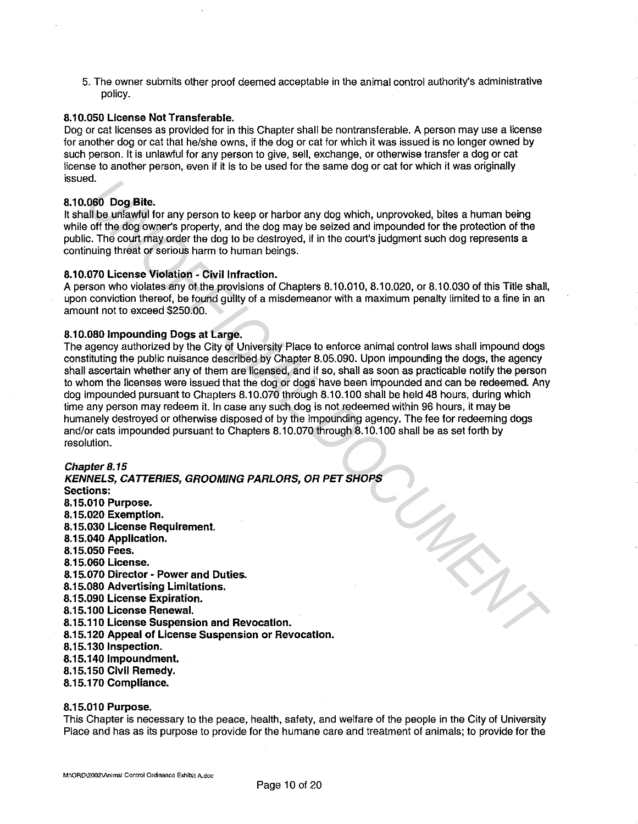5. The owner submits other proof deemed acceptable in the animal control authority's administrative policy.

## **8.10.050 License Not Transferable.**

Dog or cat licenses as provided for in this Chapter shall be nontransferable. A person may use a license for another dog or cat that he/she owns, if the dog or cat for which it was issued is no longer owned by such person. It is unlawful for any person to give, sell, exchange, or otherwise transfer a dog or cat license to another person, even if it is to be used for the same dog or cat for which it was originally issued.

## **8.10.060 Dog Bite.**

It shall be unlawful for any person to keep or harbor any dog which, unprovoked, bites a human being while off the dog owner's property, and the dog may be seized and impounded for the protection of the public. The court may order the dog to be destroyed, if in the court's judgment such dog represents a continuing threat or serious harm to human beings.

## **8.10.070 License Violation - Civil Infraction.**

A person who violates any of the provisions of Chapters 8.10.010, 8.10.020, or 8.10.030 of this Title shall, upon conviction thereof, be found guilty of a misdemeanor with a maximum penalty limited to a fine in an amount not to exceed \$250.00.

## **8.10.080 Impounding Dogs at Large.**

The agency authorized by the City of University Place to enforce animal control laws shall impound dogs constituting the public nuisance described by Chapter 8.05.090. Upon impounding the dogs, the agency shall ascertain whether any of them are licensed, and if so, shall as soon as practicable notify the person to whom the licenses were issued that the dog or dogs have been impounded and can be redeemed. Any dog impounded pursuant to Chapters 8.10.070 through 8.10.100 shall be held 48 hours, during which time any person may redeem it. In case any such dog is not redeemed within 96 hours, it may be humanely destroyed or otherwise disposed of by the impounding agency. The fee for redeeming dogs and/or cats impounded pursuant to Chapters 8.10.070 through 8.10.100 shall be as set forth by resolution.

#### **Chapter 8. 15**

**KENNELS, CATTERIES, GROOMING PARLORS, OR PET SHOPS Sections: 8.15.01 o Purpose. 8.15.020 Exemption. 8.15.030 License Requirement. 8.15.040 Application. 8.15.050 Fees. 8.15.060 License. 8.15.070 Director- Power and Duties. 8.15.080 Advertising Limitations. 8.15.090 License Expiration. 8.15.100 License Renewal. 8.15.110 License Suspension and Revocation. 8.15.120 Appeal of License Suspension or Revocation. 8.15.130 Inspection. 8.15.140 lmpoundment. 8.15.150 Civil Remedy. 8.15.170 Compliance. UNDERED ACTION CONTROL**<br> **UNDERED ACTION CONTENTS AND A CONTROLLAT CONTROLLAT CONTROLLAT CONTROLLAT CONTROLLAT CONTROLLAT CONTROLLAT CONTROLLAT CONTROLLAT CONTROLLAT CONTROLLAT CONTROLLAT CONTROLLAT CONTROLLAT CONTROLLAT** 

#### **8.15.010 Purpose.**

This Chapter is necessary to the peace, health, safety, and welfare of the people in the City of University Place and has as its purpose to provide for the humane care and treatment of animals; to provide for the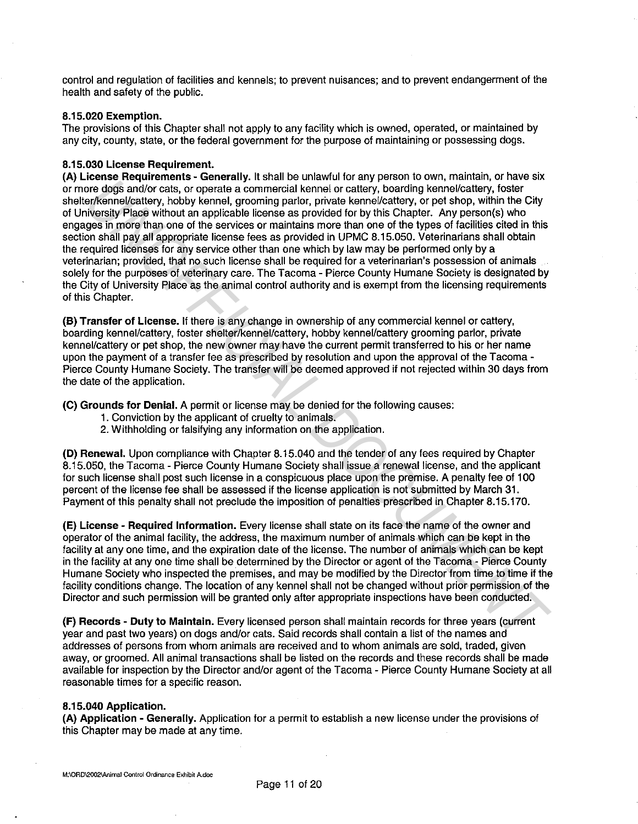control and regulation of facilities and kennels; to prevent nuisances; and to prevent endangerment of the health and safety of the public.

## **8.15.020 Exemption.**

The provisions of this Chapter shall not apply to any facility which is owned, operated, or maintained by any city, county, state, or the federal government for the purpose of maintaining or possessing dogs.

# **8.15.030 License Requirement.**

**(A) License Requirements - Generally.** It shall be unlawful for any person to own, maintain, or have six or more dogs and/or cats, or operate a commercial kennel or cattery, boarding kennel/cattery, foster shelter/kennel/cattery, hobby kennel, grooming parlor, private kennel/cattery, or pet shop, within the City of University Place without an applicable license as provided for by this Chapter. Any person(s) who engages in more than one of the services or maintains more than one of the types of facilities cited in this section shall pay all appropriate license fees as provided in UPMC 8.15.050. Veterinarians shall obtain the required licenses for any service other than one which by law may be performed only by a veterinarian; provided, that no such license shall be required for a veterinarian's possession of animals solely for the purposes of veterinary care. The Tacoma - Pierce County Humane Society is designated by the City of University Place as the animal control authority and is exempt from the licensing requirements of this Chapter. conservation of the split of the mail of the thermatic of the behavior of the properties and the properties and the properties of the split of the conservation of the splitter of the splitter of the splitter of the splitte

**(B) Transfer of License.** If there is any change in ownership of any commercial kennel or cattery, boarding kennel/cattery, foster shelter/kennel/cattery, hobby kennel/cattery grooming parlor, private kennel/cattery or pet shop, the new owner may have the current permit transferred to his or her name upon the payment of a transfer fee as prescribed by resolution and upon the approval of the Tacoma - Pierce County Humane Society. The transfer will be deemed approved if not rejected within 30 days from the date of the application.

**(C) Grounds for Denial.** A permit or license may be denied for the following causes:

- 1. Conviction by the applicant of cruelty to animals.
- 2. Withholding or falsifying any information on the application.

**(D) Renewal.** Upon compliance with Chapter 8.15.040 and the tender of any fees required by Chapter 8.15.050, the Tacoma - Pierce County Humane Society shall issue a renewal license, and the applicant for such license shall post such license in a conspicuous place upon the premise. A penalty fee of 100 percent of the license fee shall be assessed if the license application is not submitted by March 31. Payment of this penalty shall not preclude the imposition of penalties prescribed in Chapter 8.15.170.

**(E) License - Required Information.** Every license shall state on its face the name of the owner and operator of the animal facility, the address, the maximum number of animals which can be kept in the facility at any one time, and the expiration date of the license. The number of animals which can be kept in the facility at any one time shall be determined by the Director or agent of the Tacoma - Pierce County Humane Society who inspected the premises, and may be modified by the Director from time to time if the facility conditions change. The location of any kennel shall not be changed without prior permission of the Director and such permission will be granted only after appropriate inspections have been conducted.

**(F) Records - Duty to Maintain.** Every licensed person shall maintain records for three years (current year and past two years) on dogs and/or cats. Said records shall contain a list of the names and addresses of persons from whom animals are received and to whom animals are sold, traded, given away, or groomed. All animal transactions shall be listed on the records and these records shall be made available for inspection by the Director and/or agent of the Tacoma - Pierce County Humane Society at all reasonable times for a specific reason.

#### **8.15.040 Application.**

**(A) Application - Generally.** Application for a permit to establish a new license under the provisions of this Chapter may be made at any time.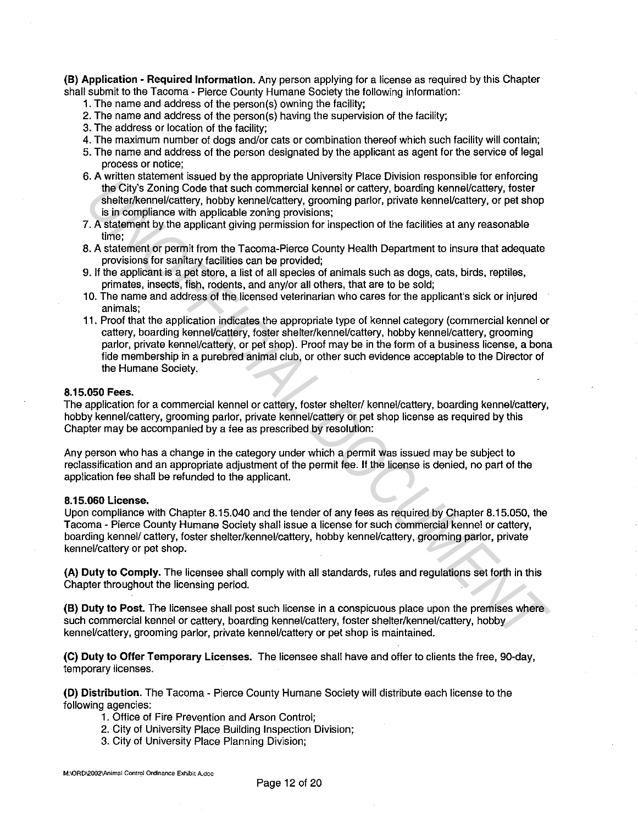**(B) Application - Required Information.** Any person applying for a license as required by this Chapter shall submit to the Tacoma - Pierce County Humane Society the following information:

- 1. The name and address of the person(s) owning the facility;
- 2. The name and address of the person(s) having the supervision of the facility;
- 3. The address or location of the facility;
- 4. The maximum number of dogs and/or cats or combination thereof which such facility will contain;
- 5. The name and address of the person designated by the applicant as agent for the service of legal process or notice;
- 6. A written statement issued by the appropriate University Place Division responsible for enforcing the City's Zoning Code that such commercial kennel or cattery, boarding kennel/cattery, foster shelter/kennel/cattery, hobby kennel/cattery, grooming parlor, private kennel/cattery, or pet shop is in compliance with applicable zoning provisions;
- 7. A statement by the applicant giving permission for inspection of the facilities at any reasonable time;
- 8. A statement or permit from the Tacoma-Pierce County Health Department to insure that adequate provisions for sanitary facilities can be provided;
- 9. If the applicant is a pet store, a list of all species of animals such as dogs, cats, birds, reptiles, primates, insects, fish, rodents, and any/or all others, that are to be sold;
- 10. The name and address of the licensed veterinarian who cares for the applicant's sick or injured animals;
- 11. Proof that the application indicates the appropriate type of kennel category (commercial kennel or cattery, boarding kennel/cattery, foster shelter/kennel/cattery, hobby kennel/cattery, grooming parlor, private kennel/cattery, or pet shop). Proof may be in the form of a business license, a bona fide membership in a purebred animal club, or other such evidence acceptable to the Director of the Humane Society. A meChyazoning Code that such appropriate University have the consideration of the Chyazoning Code that such compensation for cattery, botantling is<br>manifestating, forced that such compensation of the propriation of the fa

#### **8.15.050 Fees.**

The application for a commercial kennel or cattery, foster shelter/ kennel/cattery, boarding kennel/cattery, hobby kennel/cattery, grooming parlor, private kennel/cattery or pet shop license as required by this Chapter may be accompanied by a fee as prescribed by resolution:

Any person who has a change in the category under which a permit was issued may be subject to reclassification and an appropriate adjustment of the permit fee. If the license is denied, no part of the application fee shall be refunded to the applicant.

#### **8.15.060 License.**

Upon compliance with Chapter 8.15.040 and the tender of any fees as required by Chapter 8.15.050, the Tacoma - Pierce County Humane Society shall issue a license for such commercial kennel or cattery, boarding kennel/ cattery, foster shelter/kennel/cattery, hobby kennel/cattery, grooming parlor, private kennel/cattery or pet shop.

**(A) Duty to Comply.** The licensee shall comply with all standards, rules and regulations set forth in this Chapter throughout the licensing period.

**(B) Duty to Post.** The licensee shall post such license in a conspicuous place upon the premises where such commercial kennel or cattery, boarding kennel/cattery, foster shelter/kennel/cattery, hobby kennel/cattery, grooming parlor, private kennel/cattery or pet shop is maintained.

**(C) Duty to Offer Temporary Licenses.** The licensee shall have and offer to clients the free, 90-day, temporary licenses.

**(D) Distribution.** The Tacoma - Pierce County Humane Society will distribute each license to the following agencies:

- 1. Office of Fire Prevention and Arson Control;
- 2. City of University Place Building Inspection Division;
- 3. City of University Place Planning Division;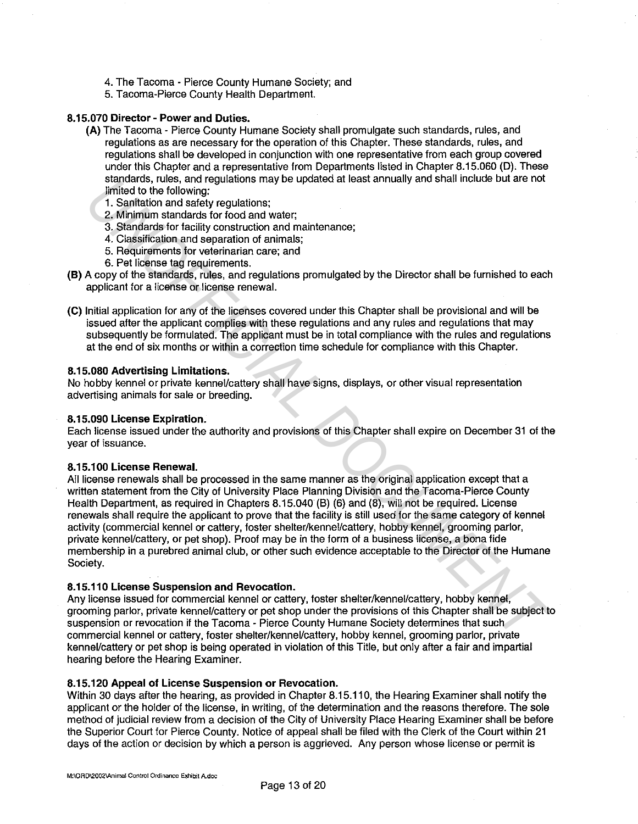- 4. The Tacoma Pierce County Humane Society; and
- 5. Tacoma-Pierce County Health Department.

# **8.15.070 Director - Power and Duties.**

- **(A)** The Tacoma Pierce County Humane Society shall promulgate such standards, rules, and regulations as are necessary for the operation of this Chapter. These standards, rules, and regulations shall be developed in conjunction with one representative from each group covered under this Chapter and a representative from Departments listed in Chapter 8.15.060 (D). These standards, rules, and regulations may be updated at least annually and shall include but are not limited to the following:
	- 1. Sanitation and safety regulations;
	- 2. Minimum standards for food and water;
	- 3. Standards for facility construction and maintenance;
	- 4. Classification and separation of animals;
	- 5. Requirements for veterinarian care; and
	- 6. Pet license tag requirements.
- **(B)** A copy of the standards, rules, and regulations promulgated by the Director shall be furnished to each applicant for a license or license renewal.
- **(C)** Initial application for any of the licenses covered under this Chapter shall be provisional and will be issued after the applicant complies with these regulations and any rules and regulations that may subsequently be formulated. The applicant must be in total compliance with the rules and regulations at the end of six months or within a correction time schedule for compliance with this Chapter.

#### **8.15.080 Advertising Limitations.**

No hobby kennel or private kennel/cattery shall have signs, displays, or other visual representation advertising animals for sale or breeding.

#### **8.15.090 License Expiration.**

Each license issued under the authority and provisions of this Chapter shall expire on December 31 of the year of issuance.

## **8.15.100 License Renewal.**

All license renewals shall be processed in the same manner as the original application except that a written statement from the City of University Place Planning Division and the Tacoma-Pierce County Health Department, as required in Chapters 8.15.040 (B) (6) and (8), will not be required. License renewals shall require the applicant to prove that the facility is still used for the same category of kennel activity (commercial kennel or cattery, foster shelter/kennel/cattery, hobby kennel, grooming parlor, private kennel/cattery, or pet shop). Proof may be in the form of a business license, a bona fide membership in a purebred animal club, or other such evidence acceptable to the Director of the Humane Society. standards, rues, and regulations and performance and these there is the sole of the following infinited to the following:<br>
2. Minimitan standards for foodinal water,<br>
2. Minimitan standards for foodinal water.<br>
4. Classifi

# **8.15.110 License Suspension and Revocation.**

Any license issued for commercial kennel or cattery, foster shelter/kennel/cattery, hobby kennel, grooming parlor, private kennel/cattery or pet shop under the provisions of this Chapter shall be subject to suspension or revocation if the Tacoma - Pierce County Humane Society determines that such commercial kennel or cattery, foster shelter/kennel/cattery, hobby kennel, grooming parlor, private kennel/cattery or pet shop is being operated in violation of this Title, but only after a fair and impartial hearing before the Hearing Examiner.

## **8.15.120 Appeal of License Suspension or Revocation.**

Within 30 days after the hearing, as provided in Chapter 8.15.110, the Hearing Examiner shall notify the applicant or the holder of the license, in writing, of the determination and the reasons therefore. The sole method of judicial review from a decision of the City of University Place Hearing Examiner shall be before the Superior Court for Pierce County. Notice of appeal shall be filed with the Clerk of the Court within 21 days of the action or decision by which a person is aggrieved. Any person whose license or permit is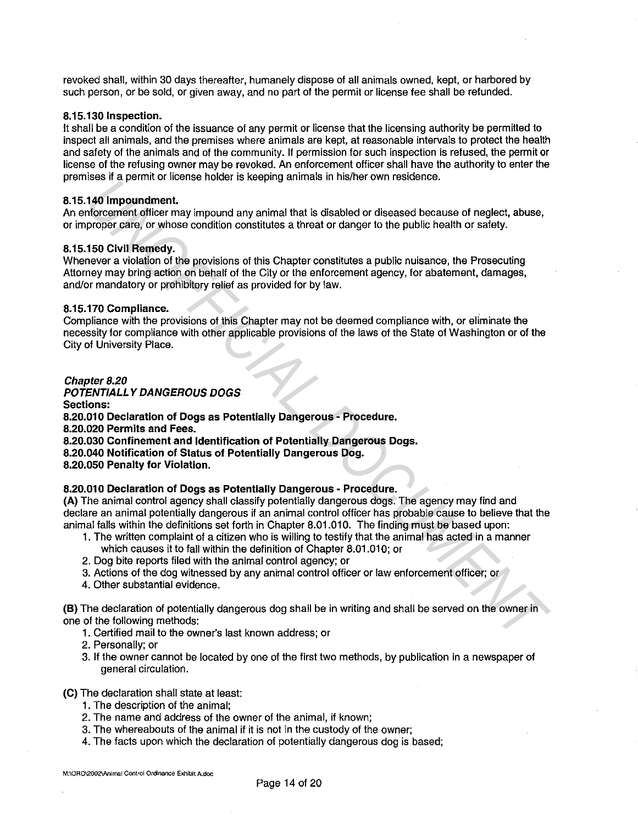revoked shall, within 30 days thereafter, humanely dispose of all animals owned, kept, or harbored by such person, or be sold, or given away, and no part of the permit or license fee shall be refunded.

## **8.15.130 Inspection.**

It shall be a condition of the issuance of any permit or license that the licensing authority be permitted to inspect all animals, and the premises where animals are kept, at reasonable intervals to protect the health and safety of the animals and of the community. If permission for such inspection is refused, the permit or license of the refusing owner may be revoked. An enforcement officer shall have the authority to enter the premises if a permit or license holder is keeping animals in his/her own residence.

## **8.15.140 lmpoundment.**

An enforcement officer may impound any animal that is disabled or diseased because of neglect, abuse, or improper care, or whose condition constitutes a threat or danger to the public health or safety.

## **8.15.150 Civil Remedy.**

Whenever a violation of the provisions of this Chapter constitutes a public nuisance, the Prosecuting Attorney may bring action on behalf of the City or the enforcement agency, for abatement, damages, and/or mandatory or prohibitory relief as provided for by law.

## **8.15.170 Compliance.**

Compliance with the provisions of this Chapter may not be deemed compliance with, or eliminate the necessity for compliance with other applicable provisions of the laws of the State of Washington or of the City of University Place.

# *Chapter 8.20*

**POTENT/ALLY DANGEROUS DOGS** 

**Sections:** 

**8.20.010 Declaration of Dogs as Potentially Dangerous - Procedure.** 

**8.20.020 Permits and Fees.** 

**8.20.030 Confinement and Identification of Potentially Dangerous Dogs.** 

**8.20.040 Notification of Status of Potentially Dangerous Dog.** 

**8.20.050 Penalty for Violation.** 

# **8.20.010 Declaration of Dogs as Potentially Dangerous - Procedure.**

**(A)** The animal control agency shall classify potentially dangerous dogs. The agency may find and declare an animal potentially dangerous if an animal control officer has probable cause to believe that the animal falls within the definitions set forth in Chapter 8.01.010. The finding must be based upon: ans in a permit to means invokent is neeptrug animitate in metric contrises and a permit of the properties.<br> **UNOFFICIAL DEVELOTS AND THE CONDUCT CONDUCT**<br> **UNOFFICIAL DEVELOTS** (**C** which considers a thread to discussed b

- 1. The written complaint of a citizen who is willing to testify that the animal has acted in a manner which causes it to fall within the definition of Chapter 8.01.010; or
- 2. Dog bite reports filed with the animal control agency; or
- 3. Actions of the dog witnessed by any animal control officer or law enforcement officer; or
- 4. Other substantial evidence.

**(B)** The declaration of potentially dangerous dog shall be in writing and shall be served on the owner in one of the following methods:

- 1 . Certified mail to the owner's last known address; or
- 2. Personally; or
- 3. If the owner cannot be located by one of the first two methods, by publication in a newspaper of general circulation.

**(C)** The declaration shall state at least:

- 1. The description of the animal;
- 2. The name and address of the owner of the animal, if known;
- 3. The whereabouts of the animal if it is not in the custody of the owner;
- 4. The facts upon which the declaration of potentially dangerous dog is based;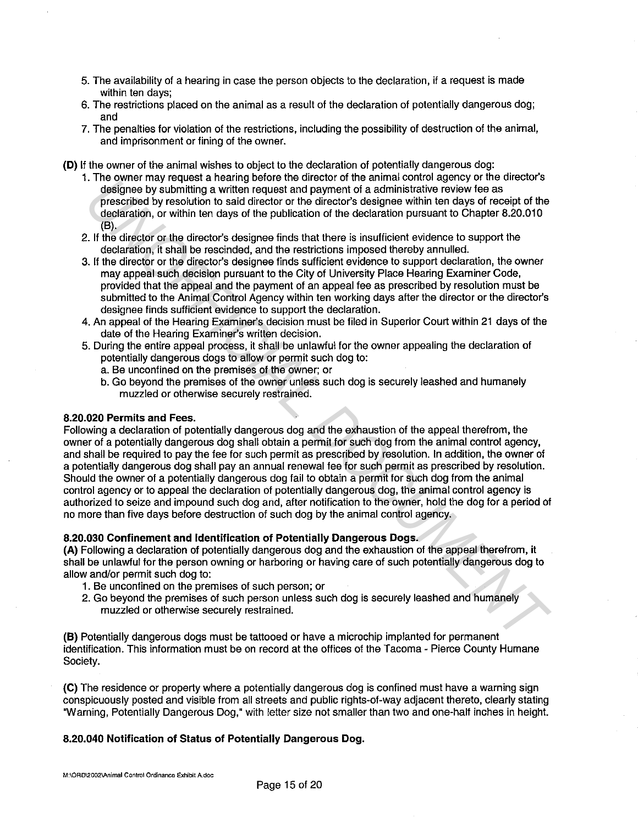- 5. The availability of a hearing in case the person objects to the declaration, if a request is made within ten days;
- 6. The restrictions placed on the animal as a result of the declaration of potentially dangerous dog; and
- 7. The penalties for violation of the restrictions, including the possibility of destruction of the animal, and imprisonment or fining of the owner.
- **(D)** If the owner of the animal wishes to object to the declaration of potentially dangerous dog:
	- 1. The owner may request a hearing before the director of the animal control agency or the director's designee by submitting a written request and payment of a administrative review fee as prescribed by resolution to said director or the director's designee within ten days of receipt of the declaration, or within ten days of the publication of the declaration pursuant to Chapter 8.20.010 (B).
	- 2. If the director or the director's designee finds that there is insufficient evidence to support the declaration, it shall be rescinded, and the restrictions imposed thereby annulled.
	- 3. If the director or the director's designee finds sufficient evidence to support declaration, the owner may appeal such decision pursuant to the City of University Place Hearing Examiner Code, provided that the appeal and the payment of an appeal fee as prescribed by resolution must be submitted to the Animal Control Agency within ten working days after the director or the director's designee finds sufficient evidence to support the declaration.
	- 4. An appeal of the Hearing Examiner's decision must be filed in Superior Court within 21 days of the date of the Hearing Examiner's written decision.
	- 5. During the entire appeal process, it shall be unlawful for the owner appealing the declaration of potentially dangerous dogs to allow or permit such dog to:
		- a. Be unconfined on the premises of the owner; or
		- b. Go beyond the premises of the owner unless such dog is securely leashed and humanely muzzled or otherwise securely restrained.

## **8.20.020 Permits and Fees.**

Following a declaration of potentially dangerous dog and the exhaustion of the appeal therefrom, the owner of a potentially dangerous dog shall obtain a permit for such dog from the animal control agency, and shall be required to pay the fee for such permit as prescribed by resolution. In addition, the owner of a potentially dangerous dog shall pay an annual renewal fee for such permit as prescribed by resolution. Should the owner of a potentially dangerous dog fail to obtain a permit for such dog from the animal control agency or to appeal the declaration of potentially dangerous dog, the animal control agency is authorized to seize and impound such dog and, after notification to the owner, hold the dog for a period of no more than five days before destruction of such dog by the animal control agency. True other hast regulates a fleading between the duction of the dimension of the dimension of the declaration of the declaration process degrees to the declaration of the declaration present of the declaration of the decla

# **8.20.030 Confinement and Identification of Potentially Dangerous Dogs.**

**(A)** Following a declaration of potentially dangerous dog and the exhaustion of the appeal therefrom, it shall be unlawful for the person owning or harboring or having care of such potentially dangerous dog to allow and/or permit such dog to:

- 1. Be unconfined on the premises of such person; or
- 2. Go beyond the premises of such person unless such dog is securely leashed and humanely muzzled or otherwise securely restrained.

**(B)** Potentially dangerous dogs must be tattooed or have a microchip implanted for permanent identification. This information must be on record at the offices of the Tacoma - Pierce County Humane Society.

**(C)** The residence or property where a potentially dangerous dog is confined must have a warning sign conspicuously posted and visible from all streets and public rights-of-way adjacent thereto, clearly stating "Warning, Potentially Dangerous Dog," with letter size not smaller than two and one-half inches in height.

# **8.20.040 Notification of Status of Potentially Dangerous Dog.**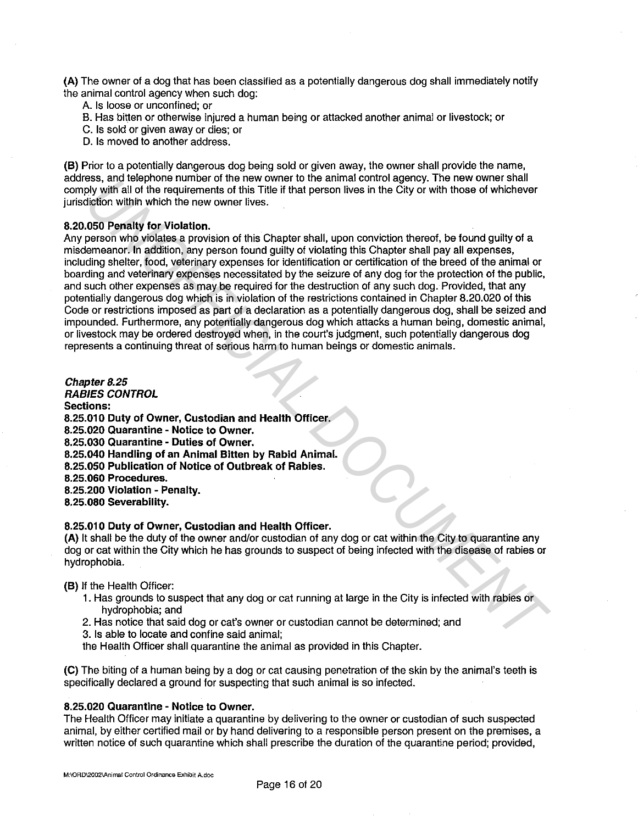**(A)** The owner of a dog that has been classified as a potentially dangerous dog shall immediately notify the animal control agency when such dog:

- A. Is loose or unconfined; or
- B. Has bitten or otherwise injured a human being or attacked another animal or livestock; or
- C. Is sold or given away or dies; or
- D. Is moved to another address.

**(B)** Prior to a potentially dangerous dog being sold or given away, the owner shall provide the name, address, and telephone number of the new owner to the animal control agency. The new owner shall comply with all of the requirements of this Title if that person lives in the City or with those of whichever jurisdiction within which the new owner lives.

## **8.20.050 Penalty for Violation.**

Any person who violates a provision of this Chapter shall, upon conviction thereof, be found guilty of a misdemeanor. In addition, any person found guilty of violating this Chapter shall pay all expenses, including shelter, food, veterinary expenses for identification or certification of the breed of the animal or boarding and veterinary expenses necessitated by the seizure of any dog for the protection of the public, and such other expenses as may be required for the destruction of any such dog. Provided, that any potentially dangerous dog which is in violation of the restrictions contained in Chapter 8.20.020 of this Code or restrictions imposed as part of a declaration as a potentially dangerous dog, shall be seized and impounded. Furthermore, any potentially dangerous dog which attacks a human being, domestic animal, or livestock may be ordered destroyed when, in the court's judgment, such potentially dangerous dog represents a continuing threat of serious harm to human beings or domestic animals. **ESS**, and leap house to the work of the work of the work of the control and the between the control of the control of the City of With the new owner lives.<br>
Universal of the new owner lives.<br>
Universal of the new owner li

**Chapter 8.25 RABIES CONTROL Sections: 8.25.010 Duty of Owner, Custodian and Health Officer. 8.25.020 Quarantine - Notice to Owner. 8.25.030 Quarantine - Duties of Owner. 8.25.040 Handling of an Animal Bitten by Rabid Animal. 8.25.050 Publication of Notice of Outbreak of Rabies. 8.25.060 Procedures. 8.25.200 Violation - Penalty. 8.25.080 Severability.** 

#### **8.25.010 Duty of Owner, Custodian and Health Officer.**

**(A)** It shall be the duty of the owner and/or custodian of any dog or cat within the City to quarantine any dog or cat within the City which he has grounds to suspect of being infected with the disease of rabies or hydrophobia.

## **(B)** If the Health Officer:

- 1. Has grounds to suspect that any dog or cat running at large in the City is infected with rabies or hydrophobia; and
- 2. Has notice that said dog or cat's owner or custodian cannot be determined; and
- 3. Is able to locate and confine said animal;
- the Health Officer shall quarantine the animal as provided in this Chapter.

**(C)** The biting of a human being by a dog or cat causing penetration of the skin by the animal's teeth is specifically declared a ground for suspecting that such animal is so infected.

# **8.25.020 Quarantine - Notice to Owner.**

The Health Officer may initiate a quarantine by delivering to the owner or custodian of such suspected animal, by either certified mail or by hand delivering to a responsible person present on the premises, a written notice of such quarantine which shall prescribe the duration of the quarantine period; provided,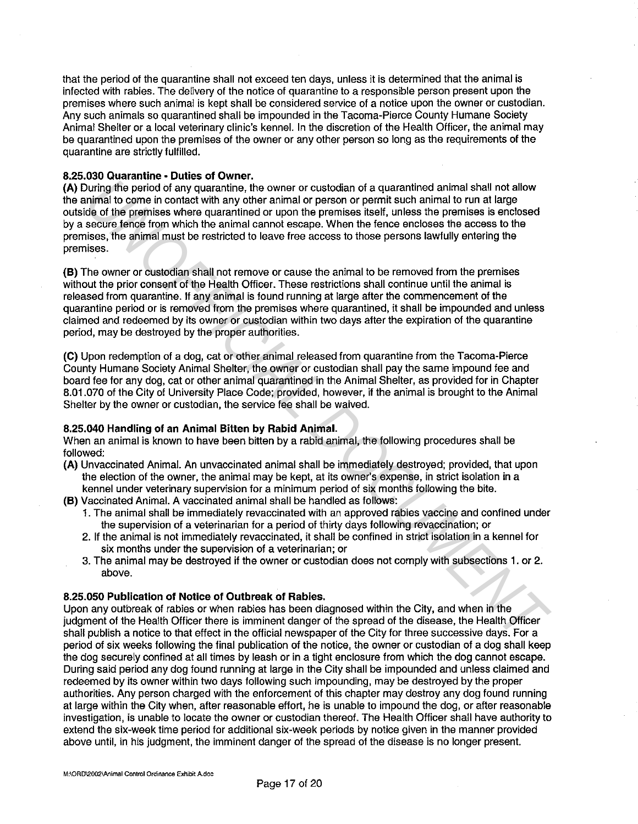that the period of the quarantine shall not exceed ten days, unless it is determined that the animal is infected with rabies. The delivery of the notice of quarantine to a responsible person present upon the premises where such animal is kept shall be considered service of a notice upon the owner or custodian. Any such animals so quarantined shall be impounded in the Tacoma-Pierce County Humane Society Animal Shelter or a local veterinary clinic's kennel. In the discretion of the Health Officer, the animal may be quarantined upon the premises of the owner or any other person so long as the requirements of the quarantine are strictly fulfilled.

## **8.25.030 Quarantine • Duties of Owner.**

**(A)** During the period of any quarantine, the owner or custodian of a quarantined animal shall not allow the animal to come in contact with any other animal or person or permit such animal to run at large outside of the premises where quarantined or upon the premises itself, unless the premises is enclosed by a secure fence from which the animal cannot escape. When the fence encloses the access to the premises, the animal must be restricted to leave free access to those persons lawfully entering the premises.

**(B)** The owner or custodian shall not remove or cause the animal to be removed from the premises without the prior consent of the Health Officer. These restrictions shall continue until the animal is released from quarantine. If any animal is found running at large after the commencement of the quarantine period or is removed from the premises where quarantined, it shall be impounded and unless claimed and redeemed by its owner or custodian within two days after the expiration of the quarantine period, may be destroyed by the proper authorities. **During the parido of any quaractrime. In owner or ustodian of a quaractrinod animal stall not altions and the pariton of the beam of the pariton of the pariton of the pariton of the pariton of the pariton of the pariton o** 

**(C)** Upon redemption of a dog, cat or other animal released from quarantine from the Tacoma-Pierce County Humane Society Animal Shelter, the owner or custodian shall pay the same impound fee and board fee for any dog, cat or other animal quarantined in the Animal Shelter, as provided for in Chapter 8.01.070 of the City of University Place Code; provided, however, if the animal is brought to the Animal Shelter by the owner or custodian, the service fee shall be waived.

## **8.25.040 Handling of an Animal Bitten by Rabid Animal.**

When an animal is known to have been bitten by a rabid animal, the following procedures shall be followed:

- **(A)** Unvaccinated Animal. An unvaccinated animal shall be immediately destroyed; provided, that upon the election of the owner, the animal may be kept, at its owner's expense, in strict isolation in a kennel under veterinary supervision for a minimum period of six months following the bite.
- **(B)** Vaccinated Animal. A vaccinated animal shall be handled as follows:
	- 1. The animal shall be immediately revaccinated with an approved rabies vaccine and confined under the supervision of a veterinarian for a period of thirty days following revaccination; or
	- 2. If the animal is not immediately revaccinated, it shall be confined in strict isolation in a kennel for six months under the supervision of a veterinarian; or
	- 3. The animal may be destroyed if the owner or custodian does not comply with subsections 1. or 2. above.

# **8.25.050 Publication of Notice of Outbreak of Rabies.**

Upon any outbreak of rabies or when rabies has been diagnosed within the City, and when in the judgment of the Health Officer there is imminent danger of the spread of the disease, the Health Officer shall publish a notice to that effect in the official newspaper of the City for three successive days. For a period of six weeks following the final publication of the notice, the owner or custodian of a dog shall keep the dog securely confined at all times by leash or in a tight enclosure from which the dog cannot escape. During said period any dog found running at large in the City shall be impounded and unless claimed and redeemed by its owner within two days following such impounding, may be destroyed by the proper authorities. Any person charged with the enforcement of this chapter may destroy any dog found running at large within the City when, after reasonable effort, he is unable to impound the dog, or after reasonable investigation, is unable to locate the owner or custodian thereof. The Health Officer shall have authority to extend the six-week time period for additional six-week periods by notice given in the manner provided above until, in his judgment, the imminent danger of the spread of the disease is no longer present.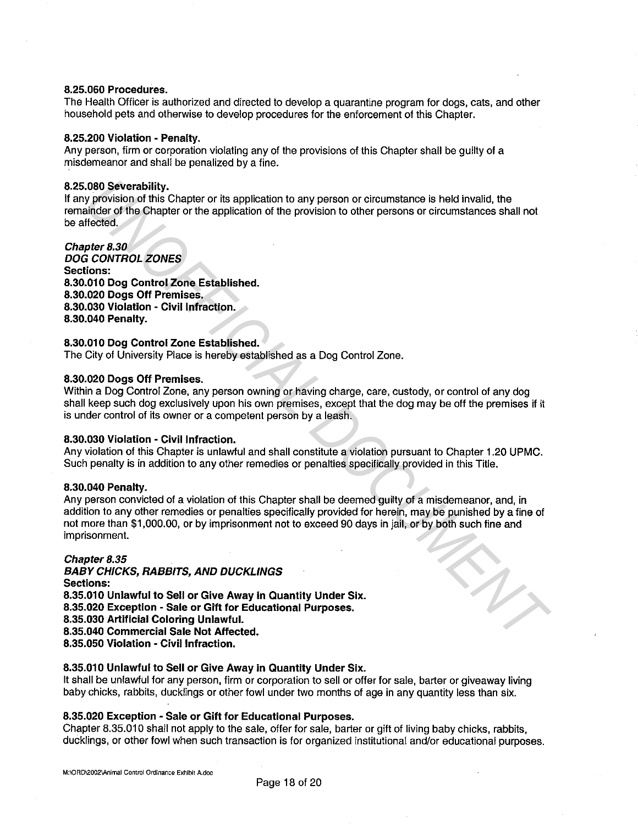#### **8.25.060 Procedures.**

The Health Officer is authorized and directed to develop a quarantine program for dogs, cats, and other household pets and otherwise to develop procedures for the enforcement of this Chapter.

#### **8.25.200 Violation - Penalty.**

Any person, firm or corporation violating any of the provisions of this Chapter shall be guilty of a misdemeanor and shall be penalized by a fine.

#### **8.25.080 Severability.**

If any provision of this Chapter or its application to any person or circumstance is held invalid, the remainder of the Chapter or the application of the provision to other persons or circumstances shall not be affected.

**Chapter 8.30 DOG CONTROL ZONES Sections: 8.30.010 Dog Control Zone Established. 8.30.020 Dogs Off Premises. 8.30.030 Violation - Civil Infraction. 8.30.040 Penalty.** 

# **8.30.010 Dog Control Zone Established.**

The City of University Place is hereby established as a Dog Control Zone.

#### **8.30.020 Dogs Off Premises.**

Within a Dog Control Zone, any person owning or having charge, care, custody, or control of any dog shall keep such dog exclusively upon his own premises, except that the dog may be off the premises if it is under control of its owner or a competent person by a leash.

## **8.30.030 Violation - Civil Infraction.**

Any violation of this Chapter is unlawful and shall constitute a violation pursuant to Chapter 1.20 UPMC. Such penalty is in addition to any other remedies or penalties specifically provided in this Title.

#### **8.30.040 Penalty.**

Any person convicted of a violation of this Chapter shall be deemed guilty of a misdemeanor, and, in addition to any other remedies or penalties specifically provided for herein, may be punished by a fine of not more than \$1,000.00, or by imprisonment not to exceed 90 days in jail, or by both such fine and imprisonment.

#### **Chapter 8.35**

**BABY CHICKS, RABBITS, AND DUCKLINGS Sections: 8.35.010 Unlawful to Sell or Give Away in Quantity Under Six. 8.35.020 Exception - Sale or Gift for Educational Purposes. 8.35.030 Artificial Coloring Unlawful. 8.35.040 Commercial Sale Not Affected. 8.35.050 Violation - Civil Infraction. .080 Severability.**<br> **UNOFFICIAL AND SECT AND MOREMATIVE CONDUCT AND SECT AND SECT AND SECT AND SECT AND CONDUCTED SECTION OF THE SECTION OF THE SECTION OF THE SECTION OF THE SECTION OF THE SECTION OF THE SECTION OF THE S** 

#### **8.35.010 Unlawful to Sell or Give Away in Quantity Under Six.**

It shall be unlawful for any person, firm or corporation to sell or offer for sale, barter or giveaway living baby chicks, rabbits, ducklings or other fowl under two months of age in any quantity less than six.

# **8.35.020 Exception - Sale or Gift for Educational Purposes.**

Chapter 8.35.010 shall not apply to the sale, offer for sale, barter or gift of living baby chicks, rabbits, ducklings, or other fowl when such transaction is for organized institutional and/or educational purposes.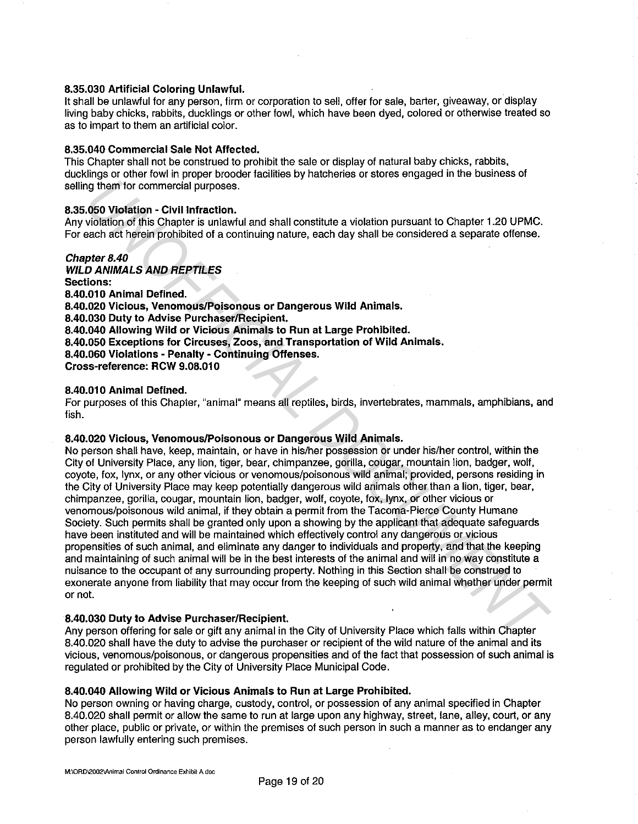## **8.35.030 Artificial Coloring Unlawful.**

It shall be unlawful for any person, firm or corporation to sell, offer for sale, barter, giveaway, or display living baby chicks, rabbits, ducklings or other fowl, which have been dyed, colored or otherwise treated so as to impart to them an artificial color.

## **8.35.040 Commercial Sale Not Affected.**

This Chapter shall not be construed to prohibit the sale or display of natural baby chicks, rabbits, ducklings or other fowl in proper brooder facilities by hatcheries or stores engaged in the business of selling them for commercial purposes.

## **8.35.050 Violation - Civil Infraction.**

Any violation of this Chapter is unlawful and shall constitute a violation pursuant to Chapter 1.20 UPMC. For each act herein prohibited of a continuing nature, each day shall be considered a separate offense.

**Chapter 8.40 WILD ANIMALS AND REPTILES Sections: 8.40.01 O Animal Defined. 8.40.020 Vicious, Venomous/Poisonous or Dangerous Wild Animals. 8.40.030 Duty to Advise Purchaser/Recipient. 8.40.040 Allowing Wild or Vicious Animals to Run at Large Prohibited. 8.40.050 Exceptions for Circuses, Zoos, and Transportation of Wild Animals. 8.40.060 Violations - Penalty - Continuing Offenses. Cross-reference: RCW 9.08.010** 

#### **8.40.010 Animal Defined.**

For purposes of this Chapter, "animal" means all reptiles, birds, invertebrates, mammals, amphibians, and fish.

#### **8.40.020 Vicious, Venomous/Poisonous or Dangerous Wild Animals.**

No person shall have, keep, maintain, or have in his/her possession or under his/her control, within the City of University Place, any lion, tiger, bear, chimpanzee, gorilla, cougar, mountain lion, badger, wolf, coyote, fox, lynx, or any other vicious or venomous/poisonous wild animal; provided, persons residing in the City of University Place may keep potentially dangerous wild animals other than a lion, tiger, bear, chimpanzee, gorilla, cougar, mountain lion, badger, wolf, coyote, fox, lynx, or other vicious or venomous/poisonous wild animal, if they obtain a permit from the Tacoma-Pierce County Humane Society. Such permits shall be granted only upon a showing by the applicant that adequate safeguards have been instituted and will be maintained which effectively control any dangerous or vicious propensities of such animal, and eliminate any danger to individuals and property, and that the keeping and maintaining of such animal will be in the best interests of the animal and will in no way constitute a nuisance to the occupant of any surrounding property. Nothing in this Section shall be construed to exonerate anyone from liability that may occur from the keeping of such wild animal whether under permit or not. og them for commercial purposes.<br>
2.650 Violation - Civil infraction.<br>
2.650 Violation of this Chapter is unlawful and shall constitute a violation pursuant to Chapter 1.20 UPMC.<br>
2.001016101 of this Chapter is unlawful an

#### **8.40.030 Duty to Advise Purchaser/Recipient.**

Any person offering for sale or gift any animal in the City of University Place which falls within Chapter 8.40.020 shall have the duty to advise the purchaser or recipient of the wild nature of the animal and its vicious, venomous/poisonous, or dangerous propensities and of the fact that possession of such animal is regulated or prohibited by the City of University Place Municipal Code.

# **8.40.040 Allowing Wild or Vicious Animals to Run at Large Prohibited.**

No person owning or having charge, custody, control, or possession of any animal specified in Chapter 8.40.020 shall permit or allow the same to run at large upon any highway, street, lane, alley, court, or any other place, public or private, or within the premises of such person in such a manner as to endanger any person lawfully entering such premises.